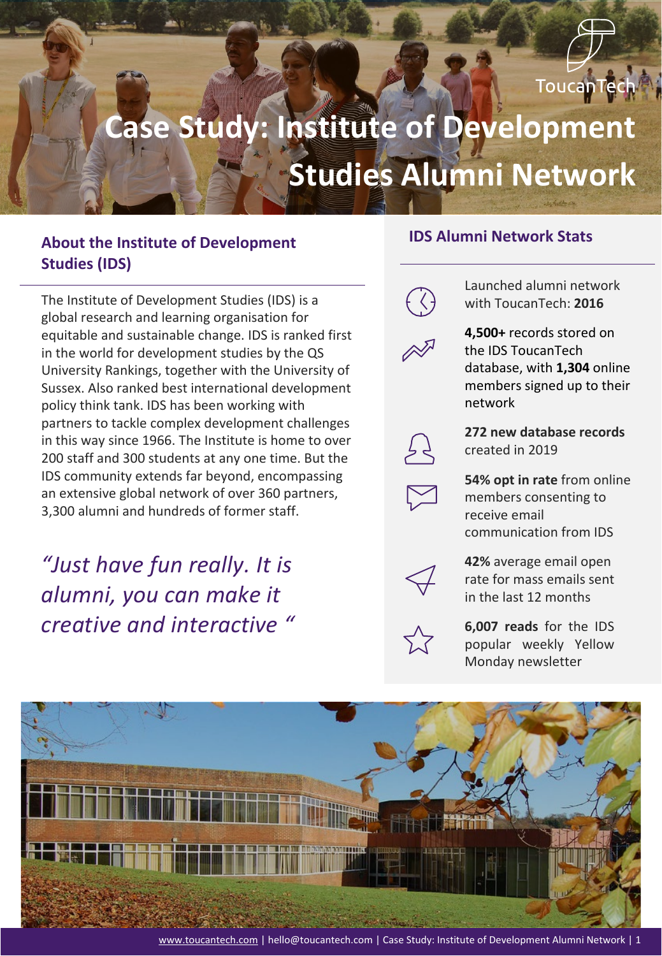

# **Case Study: Institute of Development Studies Alumni Network**

#### **About the Institute of Development Studies (IDS)**

The Institute of Development Studies (IDS) is a global research and learning organisation for equitable and sustainable change. IDS is ranked first in the world for development studies by the QS University Rankings, together with the University of Sussex. Also ranked best international development policy think tank. IDS has been working with partners to tackle complex development challenges in this way since 1966. The Institute is home to over 200 staff and 300 students at any one time. But the IDS community extends far beyond, encompassing an extensive global network of over 360 partners, 3,300 alumni and hundreds of former staff.

# *"Just have fun really. It is alumni, you can make it creative and interactive "*

#### **IDS Alumni Network Stats**



Launched alumni network with ToucanTech: **2016**

**4,500+** records stored on the IDS ToucanTech database, with **1,304** online members signed up to their network



**272 new database records**  created in 2019

**54% opt in rate** from online members consenting to receive email communication from IDS



**42%** average email open rate for mass emails sent in the last 12 months



**6,007 reads** for the IDS popular weekly Yellow Monday newsletter

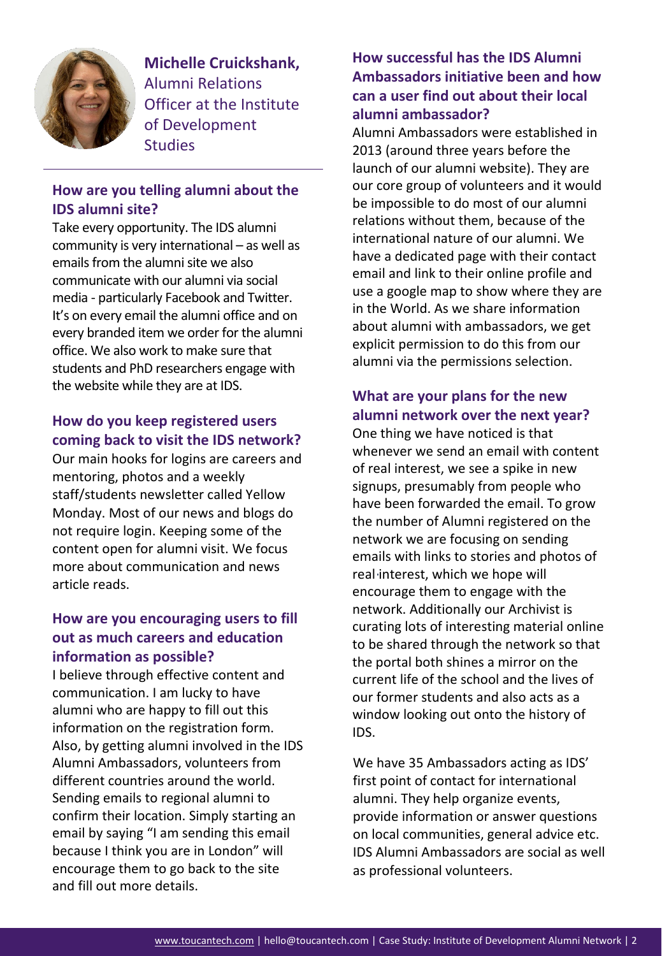

**Michelle Cruickshank,**  Alumni Relations Officer at the Institute of Development **Studies** 

#### **How are you telling alumni about the IDS alumni site?**

Take every opportunity. The IDS alumni community is very international – as well as emails from the alumni site we also communicate with our alumni via social media - particularly Facebook and Twitter. It's on every email the alumni office and on every branded item we order for the alumni office. We also work to make sure that students and PhD researchers engage with the website while they are at IDS.

#### **How do you keep registered users coming back to visit the IDS network?**

Our main hooks for logins are careers and mentoring, photos and a weekly staff/students newsletter called Yellow Monday. Most of our news and blogs do not require login. Keeping some of the content open for alumni visit. We focus more about communication and news article reads.

#### **How are you encouraging users to fill out as much careers and education information as possible?**

I believe through effective content and communication. I am lucky to have alumni who are happy to fill out this information on the registration form. Also, by getting alumni involved in the IDS Alumni Ambassadors, volunteers from different countries around the world. Sending emails to regional alumni to confirm their location. Simply starting an email by saying "I am sending this email because I think you are in London" will encourage them to go back to the site and fill out more details.

#### **How successful has the IDS Alumni Ambassadors initiative been and how can a user find out about their local alumni ambassador?**

Alumni Ambassadors were established in 2013 (around three years before the launch of our alumni website). They are our core group of volunteers and it would be impossible to do most of our alumni relations without them, because of the international nature of our alumni. We have a dedicated page with their contact email and link to their online profile and use a google map to show where they are in the World. As we share information about alumni with ambassadors, we get explicit permission to do this from our alumni via the permissions selection.

#### **What are your plans for the new alumni network over the next year?**

One thing we have noticed is that whenever we send an email with content of real interest, we see a spike in new signups, presumably from people who have been forwarded the email. To grow the number of Alumni registered on the network we are focusing on sending emails with links to stories and photos of real interest, which we hope will encourage them to engage with the network. Additionally our Archivist is curating lots of interesting material online to be shared through the network so that the portal both shines a mirror on the current life of the school and the lives of our former students and also acts as a window looking out onto the history of IDS.

We have 35 Ambassadors acting as IDS' first point of contact for international alumni. They help organize events, provide information or answer questions on local communities, general advice etc. IDS Alumni Ambassadors are social as well as professional volunteers.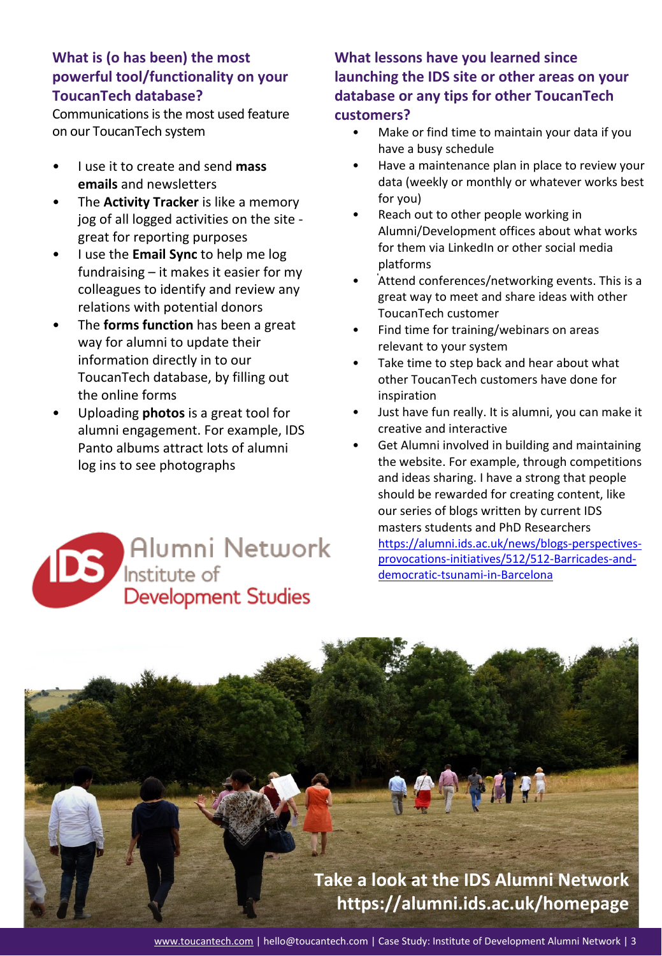#### **What is (o has been) the most powerful tool/functionality on your ToucanTech database?**

Communications is the most used feature on our ToucanTech system

- I use it to create and send **mass emails** and newsletters
- The **Activity Tracker** is like a memory jog of all logged activities on the site great for reporting purposes
- I use the **Email Sync** to help me log fundraising – it makes it easier for my colleagues to identify and review any relations with potential donors
- The **forms function** has been a great way for alumni to update their information directly in to our ToucanTech database, by filling out the online forms
- Uploading **photos** is a great tool for alumni engagement. For example, IDS Panto albums attract lots of alumni log ins to see photographs



#### **What lessons have you learned since launching the IDS site or other areas on your database or any tips for other ToucanTech customers?**

- Make or find time to maintain your data if you have a busy schedule
- Have a maintenance plan in place to review your data (weekly or monthly or whatever works best for you)
- Reach out to other people working in Alumni/Development offices about what works for them via LinkedIn or other social media platforms
- Attend conferences/networking events. This is a great way to meet and share ideas with other ToucanTech customer
- Find time for training/webinars on areas relevant to your system
- Take time to step back and hear about what other ToucanTech customers have done for inspiration
- Just have fun really. It is alumni, you can make it creative and interactive
- Get Alumni involved in building and maintaining the website. For example, through competitions and ideas sharing. I have a strong that people should be rewarded for creating content, like our series of blogs written by current IDS masters students and PhD Researchers [https://alumni.ids.ac.uk/news/blogs-perspectives](https://alumni.ids.ac.uk/news/blogs-perspectives-provocations-initiatives/512/512-Barricades-and-democratic-tsunami-in-Barcelona)[provocations-initiatives/512/512-Barricades-and](https://alumni.ids.ac.uk/news/blogs-perspectives-provocations-initiatives/512/512-Barricades-and-democratic-tsunami-in-Barcelona)[democratic-tsunami-in-Barcelona](https://alumni.ids.ac.uk/news/blogs-perspectives-provocations-initiatives/512/512-Barricades-and-democratic-tsunami-in-Barcelona)

**Take a look at the IDS Alumni Network <https://alumni.ids.ac.uk/homepage>**